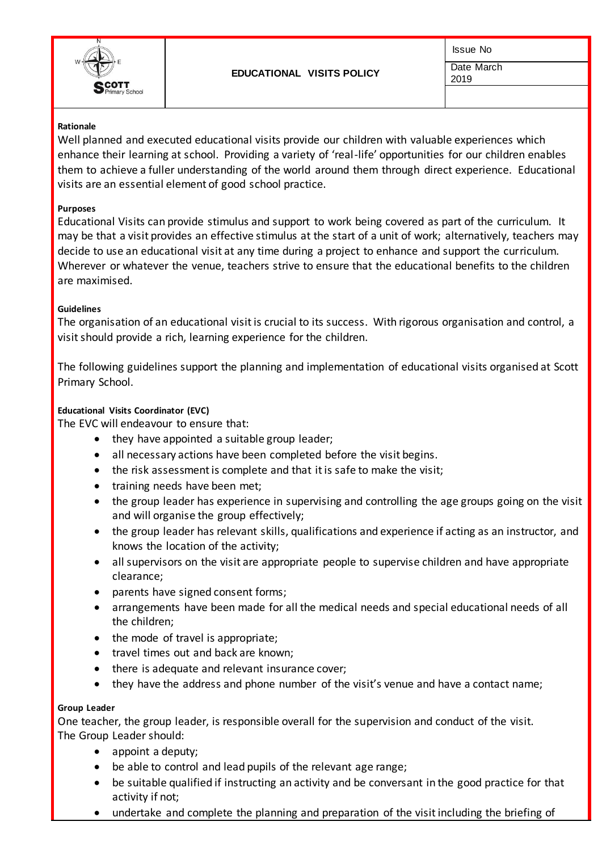

Issue No Date March

# 2019

#### **Rationale**

Well planned and executed educational visits provide our children with valuable experiences which enhance their learning at school. Providing a variety of 'real-life' opportunities for our children enables them to achieve a fuller understanding of the world around them through direct experience. Educational visits are an essential element of good school practice.

#### **Purposes**

Educational Visits can provide stimulus and support to work being covered as part of the curriculum. It may be that a visit provides an effective stimulus at the start of a unit of work; alternatively, teachers may decide to use an educational visit at any time during a project to enhance and support the curriculum. Wherever or whatever the venue, teachers strive to ensure that the educational benefits to the children are maximised.

#### **Guidelines**

The organisation of an educational visit is crucial to its success. With rigorous organisation and control, a visit should provide a rich, learning experience for the children.

The following guidelines support the planning and implementation of educational visits organised at Scott Primary School.

### **Educational Visits Coordinator (EVC)**

The EVC will endeavour to ensure that:

- they have appointed a suitable group leader;
- all necessary actions have been completed before the visit begins.
- the risk assessment is complete and that it is safe to make the visit;
- training needs have been met;
- the group leader has experience in supervising and controlling the age groups going on the visit and will organise the group effectively;
- the group leader has relevant skills, qualifications and experience if acting as an instructor, and knows the location of the activity;
- all supervisors on the visit are appropriate people to supervise children and have appropriate clearance;
- parents have signed consent forms;
- arrangements have been made for all the medical needs and special educational needs of all the children;
- the mode of travel is appropriate;
- travel times out and back are known;
- there is adequate and relevant insurance cover;
- they have the address and phone number of the visit's venue and have a contact name;

#### **Group Leader**

One teacher, the group leader, is responsible overall for the supervision and conduct of the visit. The Group Leader should:

- appoint a deputy;
- be able to control and lead pupils of the relevant age range;
- be suitable qualified if instructing an activity and be conversant in the good practice for that activity if not;
- undertake and complete the planning and preparation of the visit including the briefing of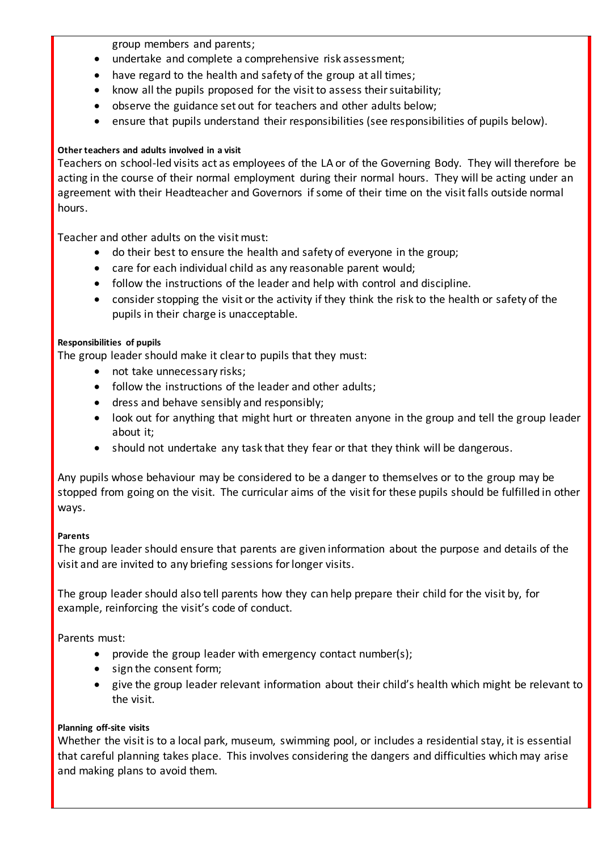group members and parents;

- undertake and complete a comprehensive risk assessment;
- have regard to the health and safety of the group at all times;
- know all the pupils proposed for the visit to assess their suitability;
- observe the guidance set out for teachers and other adults below;
- ensure that pupils understand their responsibilities (see responsibilities of pupils below).

# **Other teachers and adults involved in a visit**

Teachers on school-led visits act as employees of the LA or of the Governing Body. They will therefore be acting in the course of their normal employment during their normal hours. They will be acting under an agreement with their Headteacher and Governors if some of their time on the visit falls outside normal hours.

Teacher and other adults on the visit must:

- do their best to ensure the health and safety of everyone in the group;
- care for each individual child as any reasonable parent would;
- follow the instructions of the leader and help with control and discipline.
- consider stopping the visit or the activity if they think the risk to the health or safety of the pupils in their charge is unacceptable.

### **Responsibilities of pupils**

The group leader should make it clear to pupils that they must:

- not take unnecessary risks;
- follow the instructions of the leader and other adults;
- dress and behave sensibly and responsibly;
- look out for anything that might hurt or threaten anyone in the group and tell the group leader about it;
- should not undertake any task that they fear or that they think will be dangerous.

Any pupils whose behaviour may be considered to be a danger to themselves or to the group may be stopped from going on the visit. The curricular aims of the visit for these pupils should be fulfilled in other ways.

### **Parents**

The group leader should ensure that parents are given information about the purpose and details of the visit and are invited to any briefing sessions for longer visits.

The group leader should also tell parents how they can help prepare their child for the visit by, for example, reinforcing the visit's code of conduct.

Parents must:

- provide the group leader with emergency contact number(s);
- sign the consent form;
- give the group leader relevant information about their child's health which might be relevant to the visit.

# **Planning off-site visits**

Whether the visit is to a local park, museum, swimming pool, or includes a residential stay, it is essential that careful planning takes place. This involves considering the dangers and difficulties which may arise and making plans to avoid them.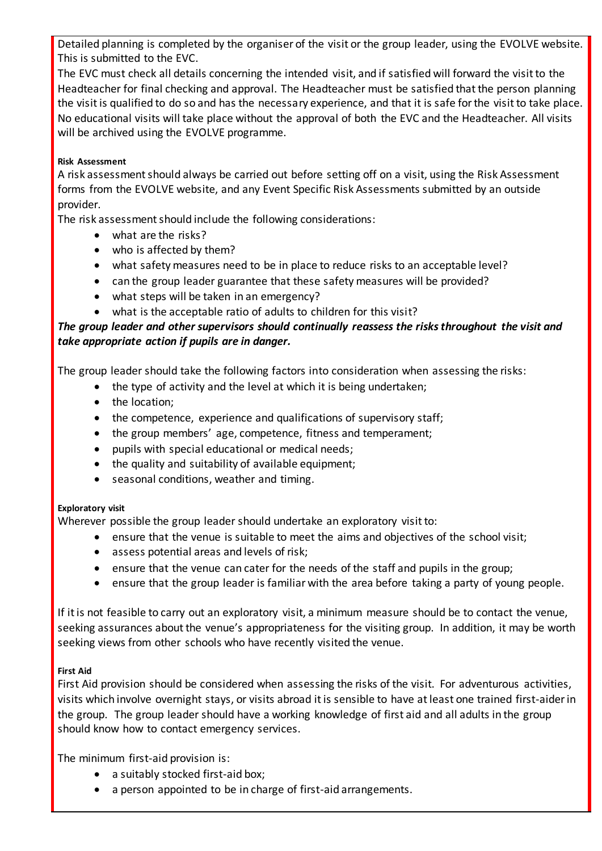Detailed planning is completed by the organiser of the visit or the group leader, using the EVOLVE website. This is submitted to the EVC.

The EVC must check all details concerning the intended visit, and if satisfied will forward the visit to the Headteacher for final checking and approval. The Headteacher must be satisfied that the person planning the visit is qualified to do so and has the necessary experience, and that it is safe for the visit to take place. No educational visits will take place without the approval of both the EVC and the Headteacher. All visits will be archived using the EVOLVE programme.

### **Risk Assessment**

A risk assessment should always be carried out before setting off on a visit, using the Risk Assessment forms from the EVOLVE website, and any Event Specific Risk Assessments submitted by an outside provider.

The risk assessment should include the following considerations:

- what are the risks?
- who is affected by them?
- what safety measures need to be in place to reduce risks to an acceptable level?
- can the group leader guarantee that these safety measures will be provided?
- what steps will be taken in an emergency?
- what is the acceptable ratio of adults to children for this visit?

# *The group leader and other supervisors should continually reassess the risks throughout the visit and take appropriate action if pupils are in danger.*

The group leader should take the following factors into consideration when assessing the risks:

- the type of activity and the level at which it is being undertaken;
- the location;
- the competence, experience and qualifications of supervisory staff;
- the group members' age, competence, fitness and temperament;
- pupils with special educational or medical needs;
- the quality and suitability of available equipment;
- seasonal conditions, weather and timing.

# **Exploratory visit**

Wherever possible the group leader should undertake an exploratory visit to:

- ensure that the venue is suitable to meet the aims and objectives of the school visit;
- assess potential areas and levels of risk;
- ensure that the venue can cater for the needs of the staff and pupils in the group;
- ensure that the group leader is familiar with the area before taking a party of young people.

If it is not feasible to carry out an exploratory visit, a minimum measure should be to contact the venue, seeking assurances about the venue's appropriateness for the visiting group. In addition, it may be worth seeking views from other schools who have recently visited the venue.

# **First Aid**

First Aid provision should be considered when assessing the risks of the visit. For adventurous activities, visits which involve overnight stays, or visits abroad it is sensible to have at least one trained first-aider in the group. The group leader should have a working knowledge of first aid and all adults in the group should know how to contact emergency services.

The minimum first-aid provision is:

- a suitably stocked first-aid box;
- a person appointed to be in charge of first-aid arrangements.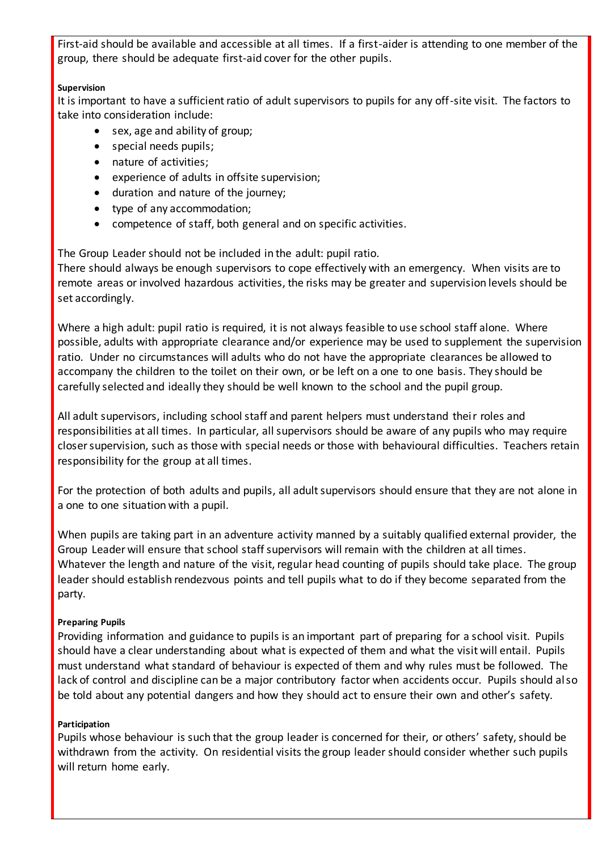First-aid should be available and accessible at all times. If a first-aider is attending to one member of the group, there should be adequate first-aid cover for the other pupils.

### **Supervision**

It is important to have a sufficient ratio of adult supervisors to pupils for any off-site visit. The factors to take into consideration include:

- sex, age and ability of group;
- special needs pupils;
- nature of activities:
- experience of adults in offsite supervision;
- duration and nature of the journey;
- type of any accommodation;
- competence of staff, both general and on specific activities.

The Group Leader should not be included in the adult: pupil ratio.

There should always be enough supervisors to cope effectively with an emergency. When visits are to remote areas or involved hazardous activities, the risks may be greater and supervision levels should be set accordingly.

Where a high adult: pupil ratio is required, it is not always feasible to use school staff alone. Where possible, adults with appropriate clearance and/or experience may be used to supplement the supervision ratio. Under no circumstances will adults who do not have the appropriate clearances be allowed to accompany the children to the toilet on their own, or be left on a one to one basis. They should be carefully selected and ideally they should be well known to the school and the pupil group.

All adult supervisors, including school staff and parent helpers must understand their roles and responsibilities at all times. In particular, all supervisors should be aware of any pupils who may require closer supervision, such as those with special needs or those with behavioural difficulties. Teachers retain responsibility for the group at all times.

For the protection of both adults and pupils, all adult supervisors should ensure that they are not alone in a one to one situation with a pupil.

When pupils are taking part in an adventure activity manned by a suitably qualified external provider, the Group Leader will ensure that school staff supervisors will remain with the children at all times. Whatever the length and nature of the visit, regular head counting of pupils should take place. The group leader should establish rendezvous points and tell pupils what to do if they become separated from the party.

# **Preparing Pupils**

Providing information and guidance to pupils is an important part of preparing for a school visit. Pupils should have a clear understanding about what is expected of them and what the visit will entail. Pupils must understand what standard of behaviour is expected of them and why rules must be followed. The lack of control and discipline can be a major contributory factor when accidents occur. Pupils should also be told about any potential dangers and how they should act to ensure their own and other's safety.

### **Participation**

Pupils whose behaviour is such that the group leader is concerned for their, or others' safety, should be withdrawn from the activity. On residential visits the group leader should consider whether such pupils will return home early.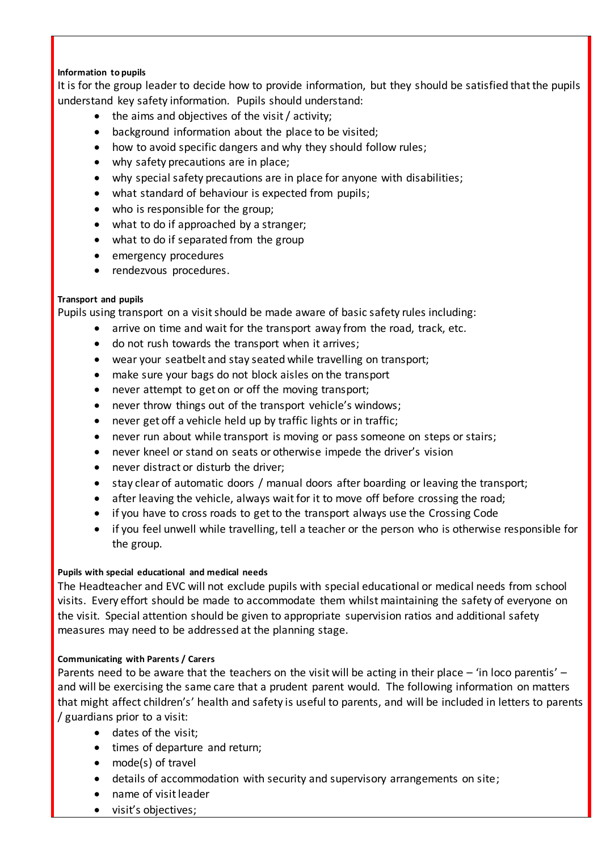### **Information to pupils**

It is for the group leader to decide how to provide information, but they should be satisfied that the pupils understand key safety information. Pupils should understand:

- the aims and objectives of the visit / activity;
- background information about the place to be visited;
- how to avoid specific dangers and why they should follow rules;
- why safety precautions are in place;
- why special safety precautions are in place for anyone with disabilities;
- what standard of behaviour is expected from pupils;
- who is responsible for the group;
- what to do if approached by a stranger;
- what to do if separated from the group
- emergency procedures
- rendezvous procedures.

### **Transport and pupils**

Pupils using transport on a visit should be made aware of basic safety rules including:

- arrive on time and wait for the transport away from the road, track, etc.
- do not rush towards the transport when it arrives;
- wear your seatbelt and stay seated while travelling on transport;
- make sure your bags do not block aisles on the transport
- never attempt to get on or off the moving transport;
- never throw things out of the transport vehicle's windows;
- never get off a vehicle held up by traffic lights or in traffic;
- never run about while transport is moving or pass someone on steps or stairs;
- never kneel or stand on seats or otherwise impede the driver's vision
- never distract or disturb the driver;
- stay clear of automatic doors / manual doors after boarding or leaving the transport;
- after leaving the vehicle, always wait for it to move off before crossing the road;
- if you have to cross roads to get to the transport always use the Crossing Code
- if you feel unwell while travelling, tell a teacher or the person who is otherwise responsible for the group.

### **Pupils with special educational and medical needs**

The Headteacher and EVC will not exclude pupils with special educational or medical needs from school visits. Every effort should be made to accommodate them whilst maintaining the safety of everyone on the visit. Special attention should be given to appropriate supervision ratios and additional safety measures may need to be addressed at the planning stage.

### **Communicating with Parents / Carers**

Parents need to be aware that the teachers on the visit will be acting in their place – 'in loco parentis' – and will be exercising the same care that a prudent parent would. The following information on matters that might affect children's' health and safety is useful to parents, and will be included in letters to parents / guardians prior to a visit:

- dates of the visit;
- times of departure and return;
- mode(s) of travel
- details of accommodation with security and supervisory arrangements on site;
- name of visit leader
- visit's objectives;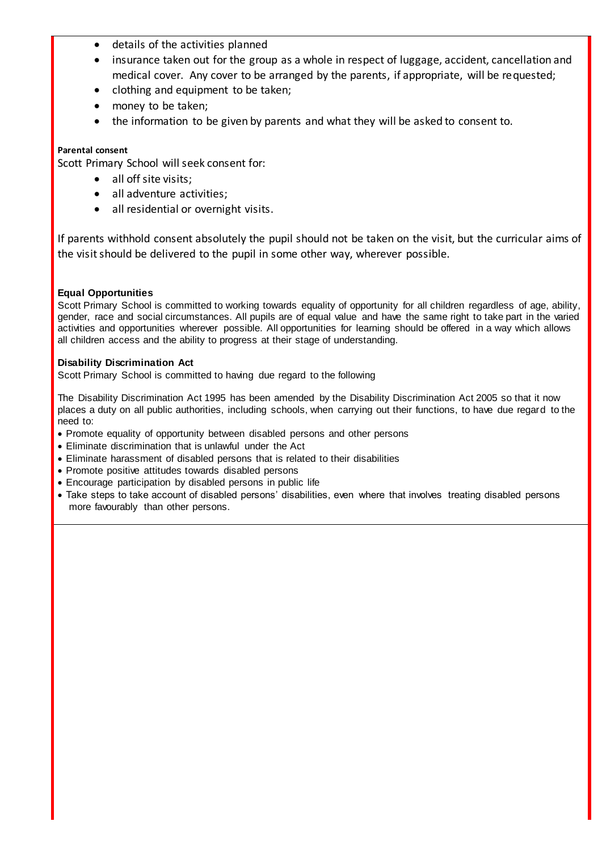- details of the activities planned
- insurance taken out for the group as a whole in respect of luggage, accident, cancellation and medical cover. Any cover to be arranged by the parents, if appropriate, will be requested;
- clothing and equipment to be taken;
- money to be taken;
- the information to be given by parents and what they will be asked to consent to.

#### **Parental consent**

Scott Primary School will seek consent for:

- all off site visits:
- all adventure activities;
- all residential or overnight visits.

If parents withhold consent absolutely the pupil should not be taken on the visit, but the curricular aims of the visit should be delivered to the pupil in some other way, wherever possible.

### **Equal Opportunities**

Scott Primary School is committed to working towards equality of opportunity for all children regardless of age, ability, gender, race and social circumstances. All pupils are of equal value and have the same right to take part in the varied activities and opportunities wherever possible. All opportunities for learning should be offered in a way which allows all children access and the ability to progress at their stage of understanding.

#### **Disability Discrimination Act**

Scott Primary School is committed to having due regard to the following

The Disability Discrimination Act 1995 has been amended by the Disability Discrimination Act 2005 so that it now places a duty on all public authorities, including schools, when carrying out their functions, to have due regard to the need to:

- Promote equality of opportunity between disabled persons and other persons
- Eliminate discrimination that is unlawful under the Act
- Eliminate harassment of disabled persons that is related to their disabilities
- Promote positive attitudes towards disabled persons
- Encourage participation by disabled persons in public life
- Take steps to take account of disabled persons' disabilities, even where that involves treating disabled persons more favourably than other persons.